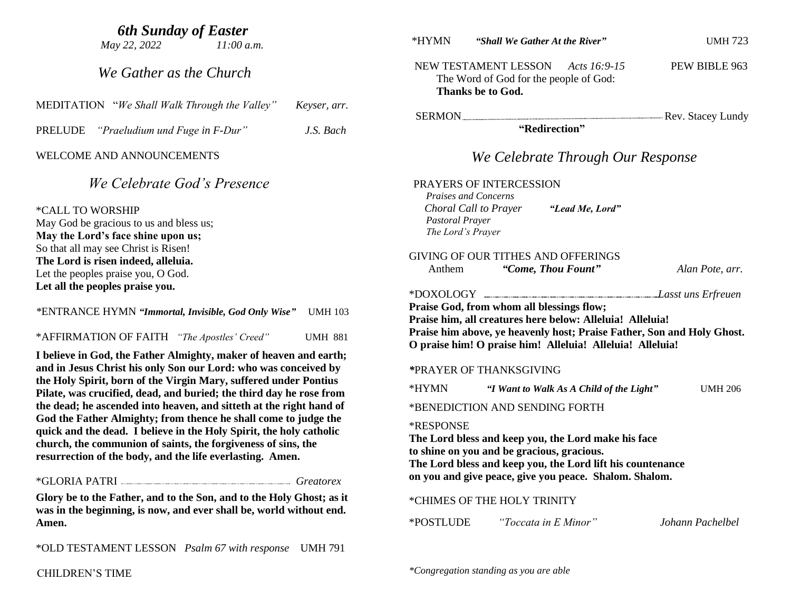## *6th Sunday of Easter*

 *May 22, 2022 11:00 a.m.*

 *We Gather as the Church*

PRELUDE *"Praeludium und Fuge in F-Dur" J.S. Bach*

#### WELCOME AND ANNOUNCEMENTS

# *We Celebrate God's Presence*

\*CALL TO WORSHIP

May God be gracious to us and bless us; **May the Lord's face shine upon us;** So that all may see Christ is Risen! **The Lord is risen indeed, alleluia.** Let the peoples praise you, O God. **Let all the peoples praise you.**

*\**ENTRANCE HYMN *"Immortal, Invisible, God Only Wise"* UMH 103

\*AFFIRMATION OF FAITH *"The Apostles' Creed"* UMH 881

**I believe in God, the Father Almighty, maker of heaven and earth; and in Jesus Christ his only Son our Lord: who was conceived by the Holy Spirit, born of the Virgin Mary, suffered under Pontius Pilate, was crucified, dead, and buried; the third day he rose from the dead; he ascended into heaven, and sitteth at the right hand of God the Father Almighty; from thence he shall come to judge the quick and the dead. I believe in the Holy Spirit, the holy catholic church, the communion of saints, the forgiveness of sins, the resurrection of the body, and the life everlasting. Amen.**

#### \*GLORIA PATRI *Greatorex*

**Glory be to the Father, and to the Son, and to the Holy Ghost; as it was in the beginning, is now, and ever shall be, world without end. Amen.**

\*OLD TESTAMENT LESSON *Psalm 67 with response* UMH 791

\*HYMN *"Shall We Gather At the River"* UMH 723

NEW TESTAMENT LESSON *Acts 16:9-15* PEW BIBLE 963 The Word of God for the people of God: **Thanks be to God.**

SERMON Rev. Stacey Lundy  **"Redirection"**

# *We Celebrate Through Our Response*

#### PRAYERS OF INTERCESSION

*Praises and Concerns Choral Call to Prayer "Lead Me, Lord" Pastoral Prayer The Lord's Prayer*

#### GIVING OF OUR TITHES AND OFFERINGS Anthem *"Come, Thou Fount" Alan Pote, arr.*

\*DOXOLOGY *.Lasst uns Erfreuen*

**Praise God, from whom all blessings flow; Praise him, all creatures here below: Alleluia! Alleluia! Praise him above, ye heavenly host; Praise Father, Son and Holy Ghost. O praise him! O praise him! Alleluia! Alleluia! Alleluia!**

#### *\**PRAYER OF THANKSGIVING

\*HYMN *"I Want to Walk As A Child of the Light"* UMH 206

\*BENEDICTION AND SENDING FORTH

#### \*RESPONSE

**The Lord bless and keep you, the Lord make his face to shine on you and be gracious, gracious. The Lord bless and keep you, the Lord lift his countenance on you and give peace, give you peace. Shalom. Shalom.**

#### \*CHIMES OF THE HOLY TRINITY

\*POSTLUDE *"Toccata in E Minor" Johann Pachelbel*

*\*Congregation standing as you are able*